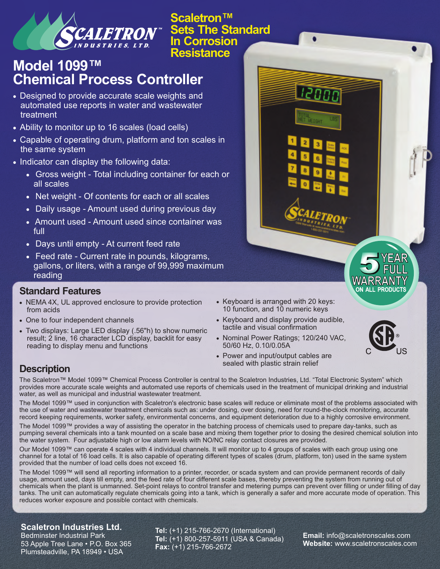

**Scaletron™ Sets The Standard In Corrosion Resistance**

# **Model 1099™ Chemical Process Controller**

- · Designed to provide accurate scale weights and automated use reports in water and wastewater treatment
- Ability to monitor up to 16 scales (load cells)
- · Capable of operating drum, platform and ton scales in the same system
- · Indicator can display the following data:
	- · Gross weight Total including container for each or all scales
	- · Net weight Of contents for each or all scales
	- · Daily usage Amount used during previous day
	- · Amount used Amount used since container was full
	- · Days until empty At current feed rate
	- · Feed rate Current rate in pounds, kilograms, gallons, or liters, with a range of 99,999 maximum reading

### **Standard Features**

- · NEMA 4X, UL approved enclosure to provide protection from acids
- · One to four independent channels
- · Two displays: Large LED display (.56"h) to show numeric result; 2 line, 16 character LCD display, backlit for easy reading to display menu and functions
- · Keyboard is arranged with 20 keys: 10 function, and 10 numeric keys

laon

- · Keyboard and display provide audible, tactile and visual confirmation
- · Nominal Power Ratings; 120/240 VAC, 50/60 Hz, 0.10/0.05A
- · Power and input/output cables are sealed with plastic strain relief



# **Description**

The Scaletron™ Model 1099™ Chemical Process Controller is central to the Scaletron Industries, Ltd. "Total Electronic System" which provides more accurate scale weights and automated use reports of chemicals used in the treatment of municipal drinking and industrial water, as well as municipal and industrial wastewater treatment.

The Model 1099™ used in conjunction with Scaletron's electronic base scales will reduce or eliminate most of the problems associated with the use of water and wastewater treatment chemicals such as: under dosing, over dosing, need for round-the-clock monitoring, accurate record keeping requirements, worker safety, environmental concerns, and equipment deterioration due to a highly corrosive environment.

The Model 1099™ provides a way of assisting the operator in the batching process of chemicals used to prepare day-tanks, such as pumping several chemicals into a tank mounted on a scale base and mixing them together prior to dosing the desired chemical solution into the water system. Four adjustable high or low alarm levels with NO/NC relay contact closures are provided.

Our Model 1099™ can operate 4 scales with 4 individual channels. It will monitor up to 4 groups of scales with each group using one channel for a total of 16 load cells. It is also capable of operating different types of scales (drum, platform, ton) used in the same system provided that the number of load cells does not exceed 16.

The Model 1099™ will send all reporting information to a printer, recorder, or scada system and can provide permanent records of daily usage, amount used, days till empty, and the feed rate of four different scale bases, thereby preventing the system from running out of chemicals when the plant is unmanned. Set-point relays to control transfer and metering pumps can prevent over filling or under filling of day tanks. The unit can automatically regulate chemicals going into a tank, which is generally a safer and more accurate mode of operation. This reduces worker exposure and possible contact with chemicals.

#### **Scaletron Industries Ltd.**

Bedminster Industrial Park 53 Apple Tree Lane • P.O. Box 365 Plumsteadville, PA 18949 • USA

**Tel:** (+1) 215-766-2670 (International) **Tel:** (+1) 800-257-5911 (USA & Canada) **Fax:** (+1) 215-766-2672

**Email:** info@scaletronscales.com **Website:** www.scaletronscales.com